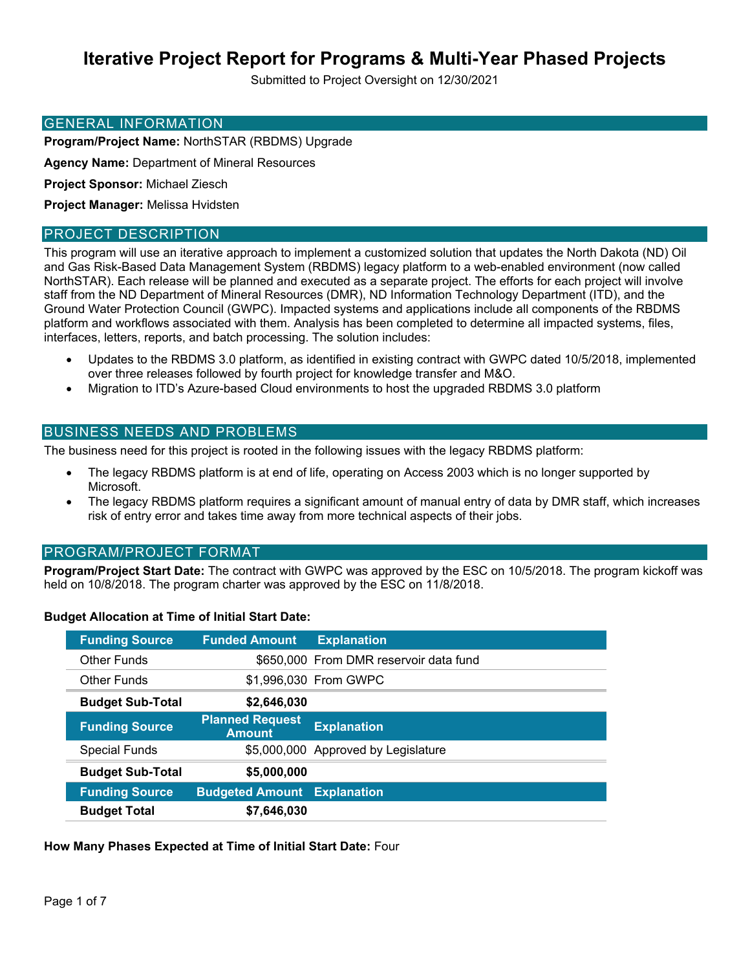# **Iterative Project Report for Programs & Multi-Year Phased Projects**

Submitted to Project Oversight on 12/30/2021

### GENERAL INFORMATION

**Program/Project Name:** NorthSTAR (RBDMS) Upgrade

**Agency Name:** Department of Mineral Resources

**Project Sponsor:** Michael Ziesch

**Project Manager:** Melissa Hvidsten

### PROJECT DESCRIPTION

This program will use an iterative approach to implement a customized solution that updates the North Dakota (ND) Oil and Gas Risk-Based Data Management System (RBDMS) legacy platform to a web-enabled environment (now called NorthSTAR). Each release will be planned and executed as a separate project. The efforts for each project will involve staff from the ND Department of Mineral Resources (DMR), ND Information Technology Department (ITD), and the Ground Water Protection Council (GWPC). Impacted systems and applications include all components of the RBDMS platform and workflows associated with them. Analysis has been completed to determine all impacted systems, files, interfaces, letters, reports, and batch processing. The solution includes:

- Updates to the RBDMS 3.0 platform, as identified in existing contract with GWPC dated 10/5/2018, implemented over three releases followed by fourth project for knowledge transfer and M&O.
- Migration to ITD's Azure-based Cloud environments to host the upgraded RBDMS 3.0 platform

### BUSINESS NEEDS AND PROBLEMS

The business need for this project is rooted in the following issues with the legacy RBDMS platform:

- The legacy RBDMS platform is at end of life, operating on Access 2003 which is no longer supported by Microsoft.
- The legacy RBDMS platform requires a significant amount of manual entry of data by DMR staff, which increases risk of entry error and takes time away from more technical aspects of their jobs.

### PROGRAM/PROJECT FORMAT

**Program/Project Start Date:** The contract with GWPC was approved by the ESC on 10/5/2018. The program kickoff was held on 10/8/2018. The program charter was approved by the ESC on 11/8/2018.

### **Budget Allocation at Time of Initial Start Date:**

| <b>Funding Source</b>   | <b>Funded Amount</b>                    | <b>Explanation</b>                     |
|-------------------------|-----------------------------------------|----------------------------------------|
| Other Funds             |                                         | \$650,000 From DMR reservoir data fund |
| Other Funds             |                                         | \$1,996,030 From GWPC                  |
| <b>Budget Sub-Total</b> | \$2,646,030                             |                                        |
| <b>Funding Source</b>   | <b>Planned Request</b><br><b>Amount</b> | <b>Explanation</b>                     |
| <b>Special Funds</b>    |                                         | \$5,000,000 Approved by Legislature    |
| <b>Budget Sub-Total</b> | \$5,000,000                             |                                        |
| <b>Funding Source</b>   | <b>Budgeted Amount</b>                  | <b>Explanation</b>                     |
| <b>Budget Total</b>     | \$7,646,030                             |                                        |

### **How Many Phases Expected at Time of Initial Start Date:** Four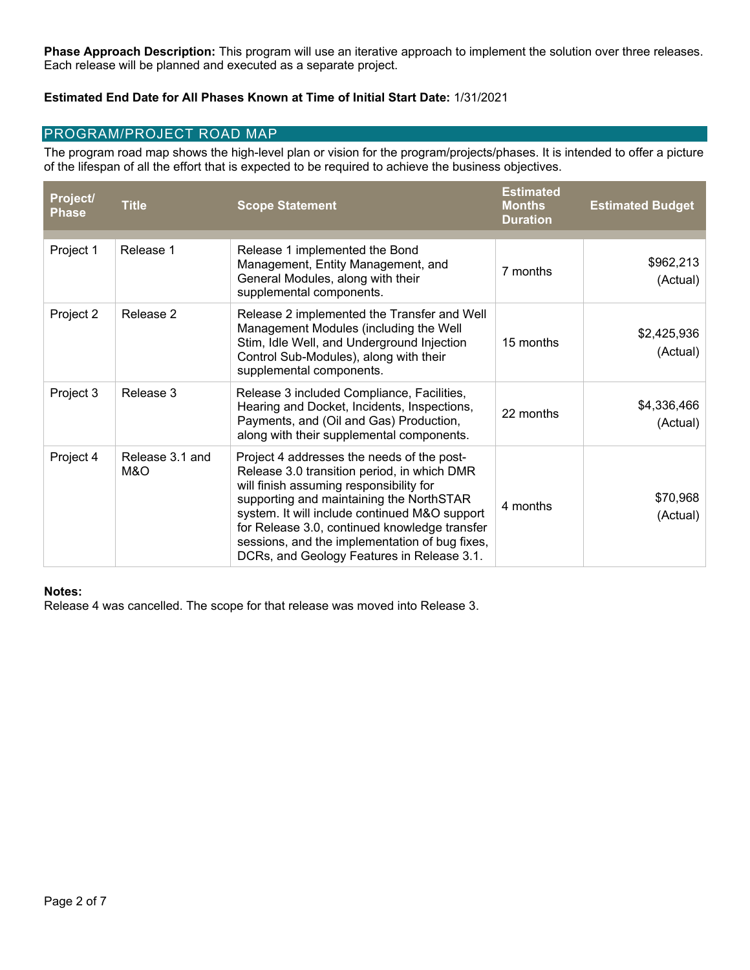**Phase Approach Description:** This program will use an iterative approach to implement the solution over three releases. Each release will be planned and executed as a separate project.

### **Estimated End Date for All Phases Known at Time of Initial Start Date:** 1/31/2021

### PROGRAM/PROJECT ROAD MAP

The program road map shows the high-level plan or vision for the program/projects/phases. It is intended to offer a picture of the lifespan of all the effort that is expected to be required to achieve the business objectives.

| Project/<br><b>Phase</b> | <b>Title</b>           | <b>Scope Statement</b>                                                                                                                                                                                                                                                                                                                                                             | <b>Estimated</b><br><b>Months</b><br><b>Duration</b> | <b>Estimated Budget</b> |
|--------------------------|------------------------|------------------------------------------------------------------------------------------------------------------------------------------------------------------------------------------------------------------------------------------------------------------------------------------------------------------------------------------------------------------------------------|------------------------------------------------------|-------------------------|
|                          |                        |                                                                                                                                                                                                                                                                                                                                                                                    |                                                      |                         |
| Project 1                | Release 1              | Release 1 implemented the Bond<br>Management, Entity Management, and<br>General Modules, along with their<br>supplemental components.                                                                                                                                                                                                                                              | 7 months                                             | \$962,213<br>(Actual)   |
| Project 2                | Release 2              | Release 2 implemented the Transfer and Well<br>Management Modules (including the Well<br>Stim, Idle Well, and Underground Injection<br>Control Sub-Modules), along with their<br>supplemental components.                                                                                                                                                                          | 15 months                                            | \$2,425,936<br>(Actual) |
| Project 3                | Release 3              | Release 3 included Compliance, Facilities,<br>Hearing and Docket, Incidents, Inspections,<br>Payments, and (Oil and Gas) Production,<br>along with their supplemental components.                                                                                                                                                                                                  | 22 months                                            | \$4,336,466<br>(Actual) |
| Project 4                | Release 3.1 and<br>M&O | Project 4 addresses the needs of the post-<br>Release 3.0 transition period, in which DMR<br>will finish assuming responsibility for<br>supporting and maintaining the NorthSTAR<br>system. It will include continued M&O support<br>for Release 3.0, continued knowledge transfer<br>sessions, and the implementation of bug fixes,<br>DCRs, and Geology Features in Release 3.1. | 4 months                                             | \$70,968<br>(Actual)    |

### **Notes:**

Release 4 was cancelled. The scope for that release was moved into Release 3.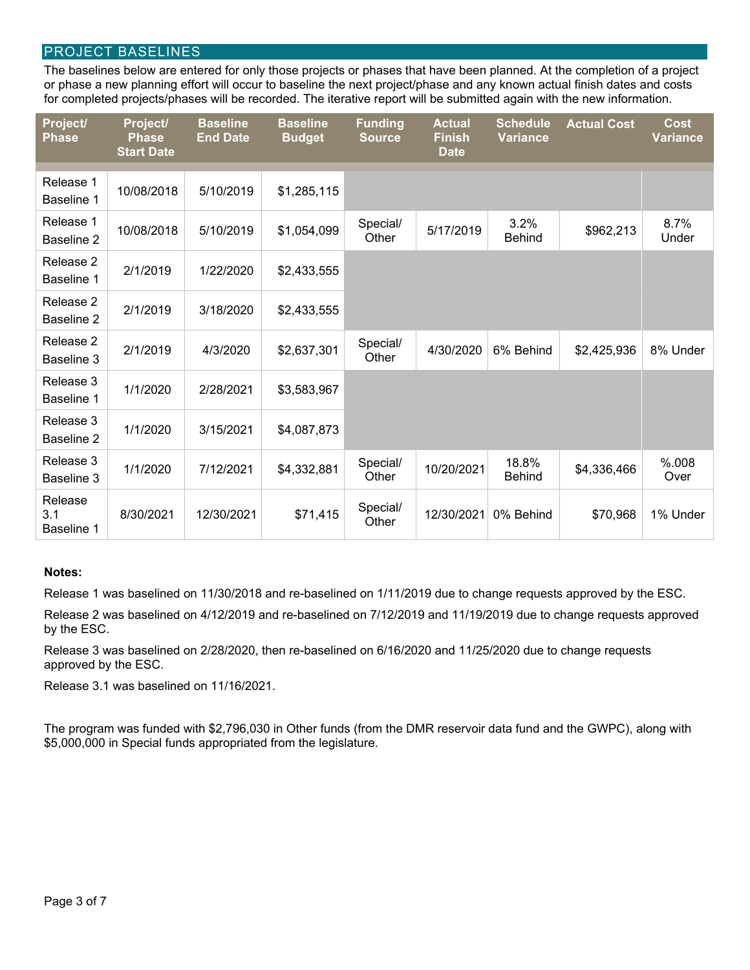### PROJECT BASELINES

The baselines below are entered for only those projects or phases that have been planned. At the completion of a project or phase a new planning effort will occur to baseline the next project/phase and any known actual finish dates and costs for completed projects/phases will be recorded. The iterative report will be submitted again with the new information.

| Project/<br><b>Phase</b>     | Project/<br><b>Phase</b><br><b>Start Date</b> | <b>Baseline</b><br><b>End Date</b> | <b>Baseline</b><br><b>Budget</b> | <b>Funding</b><br><b>Source</b> | <b>Actual</b><br><b>Finish</b><br><b>Date</b> | <b>Schedule</b><br><b>Variance</b> | <b>Actual Cost</b> | Cost<br><b>Variance</b> |
|------------------------------|-----------------------------------------------|------------------------------------|----------------------------------|---------------------------------|-----------------------------------------------|------------------------------------|--------------------|-------------------------|
| Release 1<br>Baseline 1      | 10/08/2018                                    | 5/10/2019                          | \$1,285,115                      |                                 |                                               |                                    |                    |                         |
| Release 1<br>Baseline 2      | 10/08/2018                                    | 5/10/2019                          | \$1,054,099                      | Special/<br>Other               | 5/17/2019                                     | 3.2%<br><b>Behind</b>              | \$962,213          | 8.7%<br>Under           |
| Release 2<br>Baseline 1      | 2/1/2019                                      | 1/22/2020                          | \$2,433,555                      |                                 |                                               |                                    |                    |                         |
| Release 2<br>Baseline 2      | 2/1/2019                                      | 3/18/2020                          | \$2,433,555                      |                                 |                                               |                                    |                    |                         |
| Release 2<br>Baseline 3      | 2/1/2019                                      | 4/3/2020                           | \$2,637,301                      | Special/<br>Other               | 4/30/2020                                     | 6% Behind                          | \$2,425,936        | 8% Under                |
| Release 3<br>Baseline 1      | 1/1/2020                                      | 2/28/2021                          | \$3,583,967                      |                                 |                                               |                                    |                    |                         |
| Release 3<br>Baseline 2      | 1/1/2020                                      | 3/15/2021                          | \$4,087,873                      |                                 |                                               |                                    |                    |                         |
| Release 3<br>Baseline 3      | 1/1/2020                                      | 7/12/2021                          | \$4,332,881                      | Special/<br>Other               | 10/20/2021                                    | 18.8%<br><b>Behind</b>             | \$4,336,466        | %008<br>Over            |
| Release<br>3.1<br>Baseline 1 | 8/30/2021                                     | 12/30/2021                         | \$71,415                         | Special/<br>Other               | 12/30/2021                                    | 0% Behind                          | \$70,968           | 1% Under                |

### **Notes:**

Release 1 was baselined on 11/30/2018 and re-baselined on 1/11/2019 due to change requests approved by the ESC.

Release 2 was baselined on 4/12/2019 and re-baselined on 7/12/2019 and 11/19/2019 due to change requests approved by the ESC.

Release 3 was baselined on 2/28/2020, then re-baselined on 6/16/2020 and 11/25/2020 due to change requests approved by the ESC.

Release 3.1 was baselined on 11/16/2021.

The program was funded with \$2,796,030 in Other funds (from the DMR reservoir data fund and the GWPC), along with \$5,000,000 in Special funds appropriated from the legislature.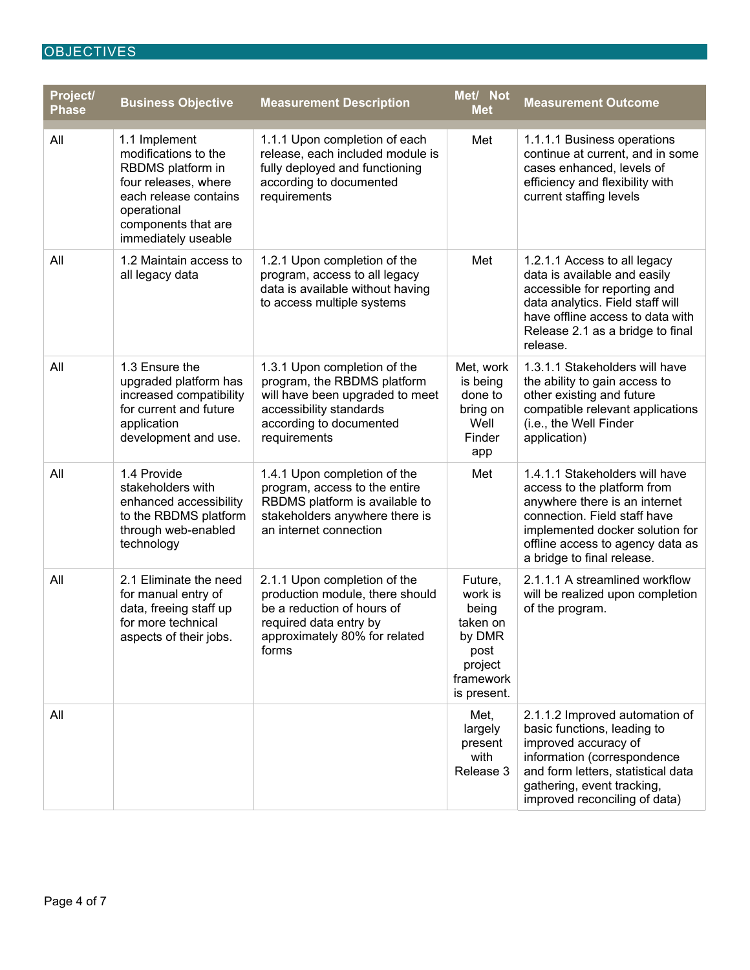## **OBJECTIVES**

| Project/<br><b>Phase</b> | <b>Business Objective</b>                                                                                                                                                | <b>Measurement Description</b>                                                                                                                                       | Met/ Not<br><b>Met</b>                                                                           | <b>Measurement Outcome</b>                                                                                                                                                                                                          |
|--------------------------|--------------------------------------------------------------------------------------------------------------------------------------------------------------------------|----------------------------------------------------------------------------------------------------------------------------------------------------------------------|--------------------------------------------------------------------------------------------------|-------------------------------------------------------------------------------------------------------------------------------------------------------------------------------------------------------------------------------------|
| All                      | 1.1 Implement<br>modifications to the<br>RBDMS platform in<br>four releases, where<br>each release contains<br>operational<br>components that are<br>immediately useable | 1.1.1 Upon completion of each<br>release, each included module is<br>fully deployed and functioning<br>according to documented<br>requirements                       | Met                                                                                              | 1.1.1.1 Business operations<br>continue at current, and in some<br>cases enhanced, levels of<br>efficiency and flexibility with<br>current staffing levels                                                                          |
| All                      | 1.2 Maintain access to<br>all legacy data                                                                                                                                | 1.2.1 Upon completion of the<br>program, access to all legacy<br>data is available without having<br>to access multiple systems                                      | Met                                                                                              | 1.2.1.1 Access to all legacy<br>data is available and easily<br>accessible for reporting and<br>data analytics. Field staff will<br>have offline access to data with<br>Release 2.1 as a bridge to final<br>release.                |
| All                      | 1.3 Ensure the<br>upgraded platform has<br>increased compatibility<br>for current and future<br>application<br>development and use.                                      | 1.3.1 Upon completion of the<br>program, the RBDMS platform<br>will have been upgraded to meet<br>accessibility standards<br>according to documented<br>requirements | Met, work<br>is being<br>done to<br>bring on<br>Well<br>Finder<br>app                            | 1.3.1.1 Stakeholders will have<br>the ability to gain access to<br>other existing and future<br>compatible relevant applications<br>(i.e., the Well Finder<br>application)                                                          |
| All                      | 1.4 Provide<br>stakeholders with<br>enhanced accessibility<br>to the RBDMS platform<br>through web-enabled<br>technology                                                 | 1.4.1 Upon completion of the<br>program, access to the entire<br>RBDMS platform is available to<br>stakeholders anywhere there is<br>an internet connection          | Met                                                                                              | 1.4.1.1 Stakeholders will have<br>access to the platform from<br>anywhere there is an internet<br>connection. Field staff have<br>implemented docker solution for<br>offline access to agency data as<br>a bridge to final release. |
| All                      | 2.1 Eliminate the need<br>for manual entry of<br>data, freeing staff up<br>for more technical<br>aspects of their jobs.                                                  | 2.1.1 Upon completion of the<br>production module, there should<br>be a reduction of hours of<br>required data entry by<br>approximately 80% for related<br>forms    | Future,<br>work is<br>being<br>taken on<br>by DMR<br>post<br>project<br>framework<br>is present. | 2.1.1.1 A streamlined workflow<br>will be realized upon completion<br>of the program.                                                                                                                                               |
| All                      |                                                                                                                                                                          |                                                                                                                                                                      | Met,<br>largely<br>present<br>with<br>Release 3                                                  | 2.1.1.2 Improved automation of<br>basic functions, leading to<br>improved accuracy of<br>information (correspondence<br>and form letters, statistical data<br>gathering, event tracking,<br>improved reconciling of data)           |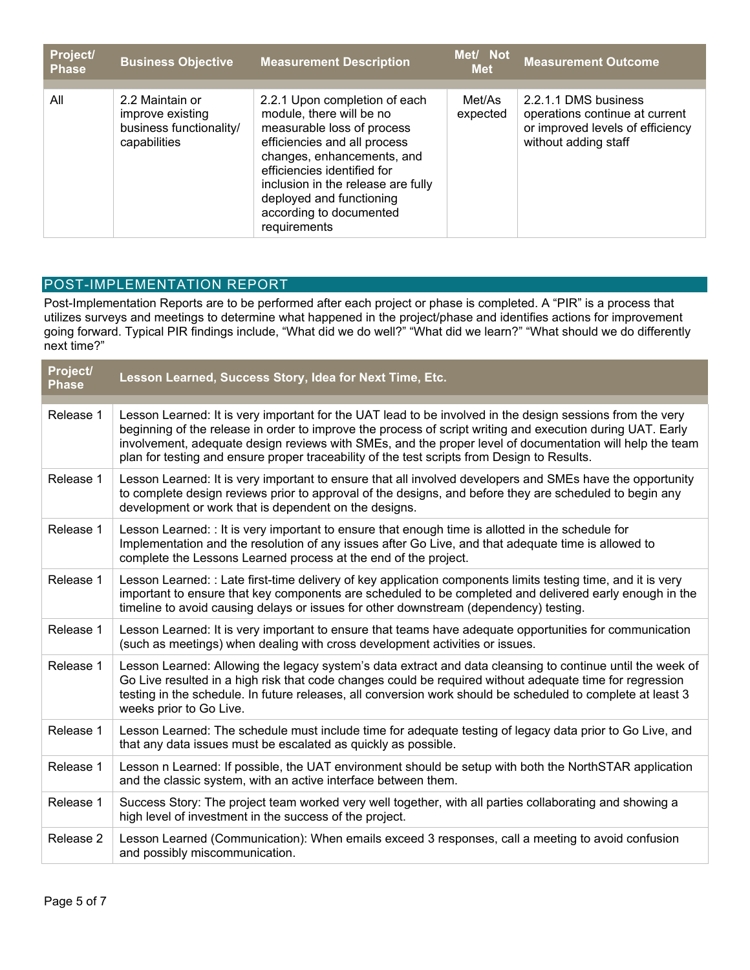| <b>Project/</b><br><b>Phase</b> | <b>Business Objective</b>                                                      | <b>Measurement Description</b>                                                                                                                                                                                                                                                                    | Met/ Not<br><b>Met</b> | <b>Measurement Outcome</b>                                                                                         |
|---------------------------------|--------------------------------------------------------------------------------|---------------------------------------------------------------------------------------------------------------------------------------------------------------------------------------------------------------------------------------------------------------------------------------------------|------------------------|--------------------------------------------------------------------------------------------------------------------|
| All                             | 2.2 Maintain or<br>improve existing<br>business functionality/<br>capabilities | 2.2.1 Upon completion of each<br>module, there will be no<br>measurable loss of process<br>efficiencies and all process<br>changes, enhancements, and<br>efficiencies identified for<br>inclusion in the release are fully<br>deployed and functioning<br>according to documented<br>requirements | Met/As<br>expected     | 2.2.1.1 DMS business<br>operations continue at current<br>or improved levels of efficiency<br>without adding staff |

### POST-IMPLEMENTATION REPORT

Post-Implementation Reports are to be performed after each project or phase is completed. A "PIR" is a process that utilizes surveys and meetings to determine what happened in the project/phase and identifies actions for improvement going forward. Typical PIR findings include, "What did we do well?" "What did we learn?" "What should we do differently next time?"

| Project/<br><b>Phase</b> | Lesson Learned, Success Story, Idea for Next Time, Etc.                                                                                                                                                                                                                                                                                                                                                                            |
|--------------------------|------------------------------------------------------------------------------------------------------------------------------------------------------------------------------------------------------------------------------------------------------------------------------------------------------------------------------------------------------------------------------------------------------------------------------------|
|                          |                                                                                                                                                                                                                                                                                                                                                                                                                                    |
| Release 1                | Lesson Learned: It is very important for the UAT lead to be involved in the design sessions from the very<br>beginning of the release in order to improve the process of script writing and execution during UAT. Early<br>involvement, adequate design reviews with SMEs, and the proper level of documentation will help the team<br>plan for testing and ensure proper traceability of the test scripts from Design to Results. |
| Release 1                | Lesson Learned: It is very important to ensure that all involved developers and SMEs have the opportunity<br>to complete design reviews prior to approval of the designs, and before they are scheduled to begin any<br>development or work that is dependent on the designs.                                                                                                                                                      |
| Release 1                | Lesson Learned: : It is very important to ensure that enough time is allotted in the schedule for<br>Implementation and the resolution of any issues after Go Live, and that adequate time is allowed to<br>complete the Lessons Learned process at the end of the project.                                                                                                                                                        |
| Release 1                | Lesson Learned: : Late first-time delivery of key application components limits testing time, and it is very<br>important to ensure that key components are scheduled to be completed and delivered early enough in the<br>timeline to avoid causing delays or issues for other downstream (dependency) testing.                                                                                                                   |
| Release 1                | Lesson Learned: It is very important to ensure that teams have adequate opportunities for communication<br>(such as meetings) when dealing with cross development activities or issues.                                                                                                                                                                                                                                            |
| Release 1                | Lesson Learned: Allowing the legacy system's data extract and data cleansing to continue until the week of<br>Go Live resulted in a high risk that code changes could be required without adequate time for regression<br>testing in the schedule. In future releases, all conversion work should be scheduled to complete at least 3<br>weeks prior to Go Live.                                                                   |
| Release 1                | Lesson Learned: The schedule must include time for adequate testing of legacy data prior to Go Live, and<br>that any data issues must be escalated as quickly as possible.                                                                                                                                                                                                                                                         |
| Release 1                | Lesson n Learned: If possible, the UAT environment should be setup with both the NorthSTAR application<br>and the classic system, with an active interface between them.                                                                                                                                                                                                                                                           |
| Release 1                | Success Story: The project team worked very well together, with all parties collaborating and showing a<br>high level of investment in the success of the project.                                                                                                                                                                                                                                                                 |
| Release 2                | Lesson Learned (Communication): When emails exceed 3 responses, call a meeting to avoid confusion<br>and possibly miscommunication.                                                                                                                                                                                                                                                                                                |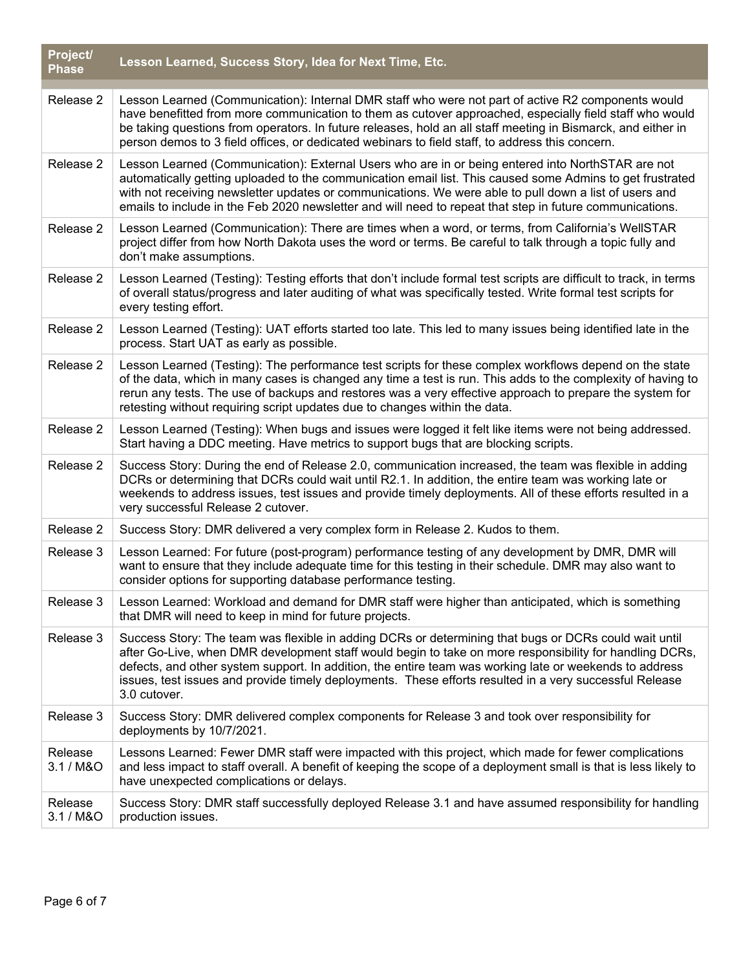| Project/<br><b>Phase</b> | Lesson Learned, Success Story, Idea for Next Time, Etc.                                                                                                                                                                                                                                                                                                                                                                                                |
|--------------------------|--------------------------------------------------------------------------------------------------------------------------------------------------------------------------------------------------------------------------------------------------------------------------------------------------------------------------------------------------------------------------------------------------------------------------------------------------------|
| Release 2                | Lesson Learned (Communication): Internal DMR staff who were not part of active R2 components would<br>have benefitted from more communication to them as cutover approached, especially field staff who would<br>be taking questions from operators. In future releases, hold an all staff meeting in Bismarck, and either in<br>person demos to 3 field offices, or dedicated webinars to field staff, to address this concern.                       |
| Release 2                | Lesson Learned (Communication): External Users who are in or being entered into NorthSTAR are not<br>automatically getting uploaded to the communication email list. This caused some Admins to get frustrated<br>with not receiving newsletter updates or communications. We were able to pull down a list of users and<br>emails to include in the Feb 2020 newsletter and will need to repeat that step in future communications.                   |
| Release 2                | Lesson Learned (Communication): There are times when a word, or terms, from California's WellSTAR<br>project differ from how North Dakota uses the word or terms. Be careful to talk through a topic fully and<br>don't make assumptions.                                                                                                                                                                                                              |
| Release 2                | Lesson Learned (Testing): Testing efforts that don't include formal test scripts are difficult to track, in terms<br>of overall status/progress and later auditing of what was specifically tested. Write formal test scripts for<br>every testing effort.                                                                                                                                                                                             |
| Release 2                | Lesson Learned (Testing): UAT efforts started too late. This led to many issues being identified late in the<br>process. Start UAT as early as possible.                                                                                                                                                                                                                                                                                               |
| Release 2                | Lesson Learned (Testing): The performance test scripts for these complex workflows depend on the state<br>of the data, which in many cases is changed any time a test is run. This adds to the complexity of having to<br>rerun any tests. The use of backups and restores was a very effective approach to prepare the system for<br>retesting without requiring script updates due to changes within the data.                                       |
| Release 2                | Lesson Learned (Testing): When bugs and issues were logged it felt like items were not being addressed.<br>Start having a DDC meeting. Have metrics to support bugs that are blocking scripts.                                                                                                                                                                                                                                                         |
| Release 2                | Success Story: During the end of Release 2.0, communication increased, the team was flexible in adding<br>DCRs or determining that DCRs could wait until R2.1. In addition, the entire team was working late or<br>weekends to address issues, test issues and provide timely deployments. All of these efforts resulted in a<br>very successful Release 2 cutover.                                                                                    |
| Release 2                | Success Story: DMR delivered a very complex form in Release 2. Kudos to them.                                                                                                                                                                                                                                                                                                                                                                          |
| Release 3                | Lesson Learned: For future (post-program) performance testing of any development by DMR, DMR will<br>want to ensure that they include adequate time for this testing in their schedule. DMR may also want to<br>consider options for supporting database performance testing.                                                                                                                                                                          |
| Release 3                | Lesson Learned: Workload and demand for DMR staff were higher than anticipated, which is something<br>that DMR will need to keep in mind for future projects.                                                                                                                                                                                                                                                                                          |
| Release 3                | Success Story: The team was flexible in adding DCRs or determining that bugs or DCRs could wait until<br>after Go-Live, when DMR development staff would begin to take on more responsibility for handling DCRs,<br>defects, and other system support. In addition, the entire team was working late or weekends to address<br>issues, test issues and provide timely deployments. These efforts resulted in a very successful Release<br>3.0 cutover. |
| Release 3                | Success Story: DMR delivered complex components for Release 3 and took over responsibility for<br>deployments by 10/7/2021.                                                                                                                                                                                                                                                                                                                            |
| Release<br>3.1 / M&O     | Lessons Learned: Fewer DMR staff were impacted with this project, which made for fewer complications<br>and less impact to staff overall. A benefit of keeping the scope of a deployment small is that is less likely to<br>have unexpected complications or delays.                                                                                                                                                                                   |
| Release<br>3.1 / M&O     | Success Story: DMR staff successfully deployed Release 3.1 and have assumed responsibility for handling<br>production issues.                                                                                                                                                                                                                                                                                                                          |